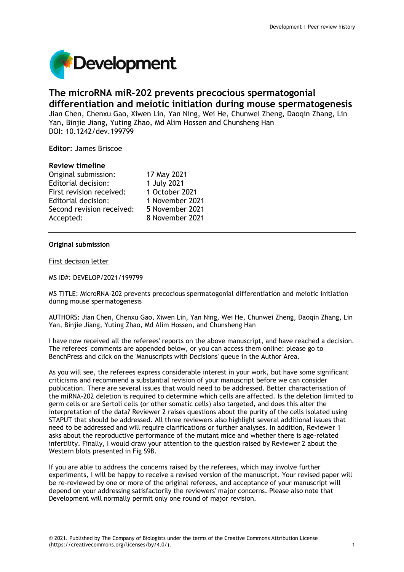

# **The microRNA miR-202 prevents precocious spermatogonial differentiation and meiotic initiation during mouse spermatogenesis**

Jian Chen, Chenxu Gao, Xiwen Lin, Yan Ning, Wei He, Chunwei Zheng, Daoqin Zhang, Lin Yan, Binjie Jiang, Yuting Zhao, Md Alim Hossen and Chunsheng Han DOI: 10.1242/dev.199799

**Editor**: James Briscoe

## **Review timeline**

| Original submission:       | 17 May 2021     |
|----------------------------|-----------------|
| <b>Editorial decision:</b> | 1 July 2021     |
| First revision received:   | 1 October 2021  |
| Editorial decision:        | 1 November 2021 |
| Second revision received:  | 5 November 2021 |
| Accepted:                  | 8 November 2021 |

## **Original submission**

First decision letter

MS ID#: DEVELOP/2021/199799

MS TITLE: MicroRNA-202 prevents precocious spermatogonial differentiation and meiotic initiation during mouse spermatogenesis

AUTHORS: Jian Chen, Chenxu Gao, Xiwen Lin, Yan Ning, Wei He, Chunwei Zheng, Daoqin Zhang, Lin Yan, Binjie Jiang, Yuting Zhao, Md Alim Hossen, and Chunsheng Han

I have now received all the referees' reports on the above manuscript, and have reached a decision. The referees' comments are appended below, or you can access them online: please go to BenchPress and click on the 'Manuscripts with Decisions' queue in the Author Area.

As you will see, the referees express considerable interest in your work, but have some significant criticisms and recommend a substantial revision of your manuscript before we can consider publication. There are several issues that would need to be addressed. Better characterisation of the miRNA-202 deletion is required to determine which cells are affected. Is the deletion limited to germ cells or are Sertoli cells (or other somatic cells) also targeted, and does this alter the interpretation of the data? Reviewer 2 raises questions about the purity of the cells isolated using STAPUT that should be addressed. All three reviewers also highlight several additional issues that need to be addressed and will require clarifications or further analyses. In addition, Reviewer 1 asks about the reproductive performance of the mutant mice and whether there is age-related infertility. Finally, I would draw your attention to the question raised by Reviewer 2 about the Western blots presented in Fig S9B.

If you are able to address the concerns raised by the referees, which may involve further experiments, I will be happy to receive a revised version of the manuscript. Your revised paper will be re-reviewed by one or more of the original referees, and acceptance of your manuscript will depend on your addressing satisfactorily the reviewers' major concerns. Please also note that Development will normally permit only one round of major revision.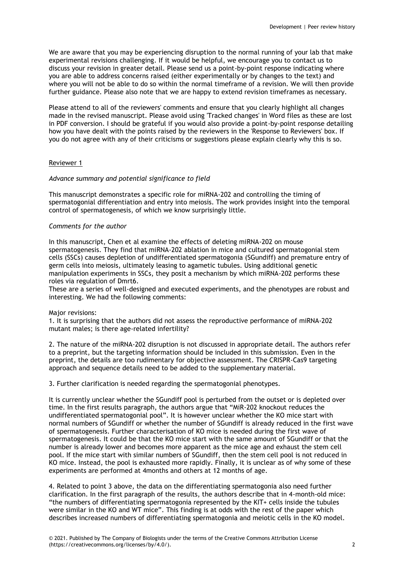We are aware that you may be experiencing disruption to the normal running of your lab that make experimental revisions challenging. If it would be helpful, we encourage you to contact us to discuss your revision in greater detail. Please send us a point-by-point response indicating where you are able to address concerns raised (either experimentally or by changes to the text) and where you will not be able to do so within the normal timeframe of a revision. We will then provide further guidance. Please also note that we are happy to extend revision timeframes as necessary.

Please attend to all of the reviewers' comments and ensure that you clearly highlight all changes made in the revised manuscript. Please avoid using 'Tracked changes' in Word files as these are lost in PDF conversion. I should be grateful if you would also provide a point-by-point response detailing how you have dealt with the points raised by the reviewers in the 'Response to Reviewers' box. If you do not agree with any of their criticisms or suggestions please explain clearly why this is so.

## Reviewer 1

## *Advance summary and potential significance to field*

This manuscript demonstrates a specific role for miRNA-202 and controlling the timing of spermatogonial differentiation and entry into meiosis. The work provides insight into the temporal control of spermatogenesis, of which we know surprisingly little.

## *Comments for the author*

In this manuscript, Chen et al examine the effects of deleting miRNA-202 on mouse spermatogenesis. They find that miRNA-202 ablation in mice and cultured spermatogonial stem cells (SSCs) causes depletion of undifferentiated spermatogonia (SGundiff) and premature entry of germ cells into meiosis, ultimately leasing to agametic tubules. Using additional genetic manipulation experiments in SSCs, they posit a mechanism by which miRNA-202 performs these roles via regulation of Dmrt6.

These are a series of well-designed and executed experiments, and the phenotypes are robust and interesting. We had the following comments:

## Major revisions:

1. It is surprising that the authors did not assess the reproductive performance of miRNA-202 mutant males; is there age-related infertility?

2. The nature of the miRNA-202 disruption is not discussed in appropriate detail. The authors refer to a preprint, but the targeting information should be included in this submission. Even in the preprint, the details are too rudimentary for objective assessment. The CRISPR-Cas9 targeting approach and sequence details need to be added to the supplementary material.

3. Further clarification is needed regarding the spermatogonial phenotypes.

It is currently unclear whether the SGundiff pool is perturbed from the outset or is depleted over time. In the first results paragraph, the authors argue that "MiR-202 knockout reduces the undifferentiated spermatogonial pool". It is however unclear whether the KO mice start with normal numbers of SGundiff or whether the number of SGundiff is already reduced in the first wave of spermatogenesis. Further characterisation of KO mice is needed during the first wave of spermatogenesis. It could be that the KO mice start with the same amount of SGundiff or that the number is already lower and becomes more apparent as the mice age and exhaust the stem cell pool. If the mice start with similar numbers of SGundiff, then the stem cell pool is not reduced in KO mice. Instead, the pool is exhausted more rapidly. Finally, it is unclear as of why some of these experiments are performed at 4months and others at 12 months of age.

4. Related to point 3 above, the data on the differentiating spermatogonia also need further clarification. In the first paragraph of the results, the authors describe that in 4-month-old mice: "the numbers of differentiating spermatogonia represented by the KIT+ cells inside the tubules were similar in the KO and WT mice". This finding is at odds with the rest of the paper which describes increased numbers of differentiating spermatogonia and meiotic cells in the KO model.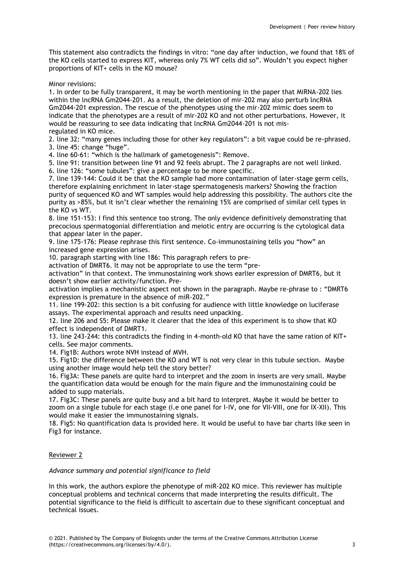This statement also contradicts the findings in vitro: "one day after induction, we found that 18% of the KO cells started to express KIT, whereas only 7% WT cells did so". Wouldn't you expect higher proportions of KIT+ cells in the KO mouse?

Minor revisions:

1. In order to be fully transparent, it may be worth mentioning in the paper that MiRNA-202 lies within the lncRNA Gm2044-201. As a result, the deletion of mir-202 may also perturb lncRNA Gm2044-201 expression. The rescue of the phenotypes using the mir-202 mimic does seem to indicate that the phenotypes are a result of mir-202 KO and not other perturbations. However, it would be reassuring to see data indicating that lncRNA Gm2044-201 is not misregulated in KO mice.

2. line 32: "many genes including those for other key regulators": a bit vague could be re-phrased. 3. line 45: change "huge".

4. line 60-61: "which is the hallmark of gametogenesis": Remove.

5. line 91: transition between line 91 and 92 feels abrupt. The 2 paragraphs are not well linked.

6. line 126: "some tubules": give a percentage to be more specific.

7. line 139-144: Could it be that the KO sample had more contamination of later-stage germ cells, therefore explaining enrichment in later-stage spermatogenesis markers? Showing the fraction purity of sequenced KO and WT samples would help addressing this possibility. The authors cite the purity as >85%, but it isn't clear whether the remaining 15% are comprised of similar cell types in the KO vs WT.

8. line 151-153: I find this sentence too strong. The only evidence definitively demonstrating that precocious spermatogonial differentiation and meiotic entry are occurring is the cytological data that appear later in the paper.

9. line 175-176: Please rephrase this first sentence. Co-immunostaining tells you "how" an increased gene expression arises.

10. paragraph starting with line 186: This paragraph refers to pre-

activation of DMRT6. It may not be appropriate to use the term "pre-

activation" in that context. The immunostaining work shows earlier expression of DMRT6, but it doesn't show earlier activity/function. Pre-

activation implies a mechanistic aspect not shown in the paragraph. Maybe re-phrase to : "DMRT6 expression is premature in the absence of miR-202."

11. line 199-202: this section is a bit confusing for audience with little knowledge on luciferase assays. The experimental approach and results need unpacking.

12. line 206 and S5: Please make it clearer that the idea of this experiment is to show that KO effect is independent of DMRT1.

13. line 243-244: this contradicts the finding in 4-month-old KO that have the same ration of KIT+ cells. See major comments.

14. Fig1B: Authors wrote NVH instead of MVH.

15. Fig1D: the difference between the KO and WT is not very clear in this tubule section. Maybe using another image would help tell the story better?

16. Fig3A: These panels are quite hard to interpret and the zoom in inserts are very small. Maybe the quantification data would be enough for the main figure and the immunostaining could be added to supp materials.

17. Fig3C: These panels are quite busy and a bit hard to interpret. Maybe it would be better to zoom on a single tubule for each stage (i.e one panel for I-IV, one for VII-VIII, one for IX-XII). This would make it easier the immunostaining signals.

18. Fig5: No quantification data is provided here. It would be useful to have bar charts like seen in Fig3 for instance.

Reviewer 2

*Advance summary and potential significance to field*

In this work, the authors explore the phenotype of miR-202 KO mice. This reviewer has multiple conceptual problems and technical concerns that made interpreting the results difficult. The potential significance to the field is difficult to ascertain due to these significant conceptual and technical issues.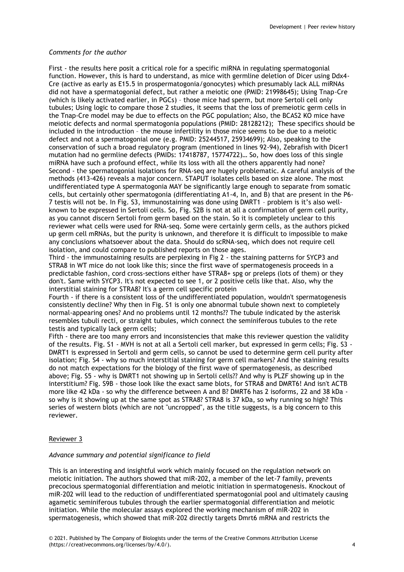# *Comments for the author*

First - the results here posit a critical role for a specific miRNA in regulating spermatogonial function. However, this is hard to understand, as mice with germline deletion of Dicer using Ddx4- Cre (active as early as E15.5 in prospermatogonia/gonocytes) which presumably lack ALL miRNAs did not have a spermatogonial defect, but rather a meiotic one (PMID: 21998645); Using Tnap-Cre (which is likely activated earlier, in PGCs) – those mice had sperm, but more Sertoli cell only tubules; Using logic to compare those 2 studies, it seems that the loss of premeiotic germ cells in the Tnap-Cre model may be due to effects on the PGC population; Also, the BCAS2 KO mice have meiotic defects and normal spermatogonia populations (PMID: 28128212); These specifics should be included in the introduction – the mouse infertility in those mice seems to be due to a meiotic defect and not a spermatogonial one (e.g. PMID: 25244517, 25934699); Also, speaking to the conservation of such a broad regulatory program (mentioned in lines 92-94), Zebrafish with Dicer1 mutation had no germline defects (PMIDs: 17418787, 15774722)… So, how does loss of this single miRNA have such a profound effect, while its loss with all the others apparently had none? Second - the spermatogonial isolations for RNA-seq are hugely problematic. A careful analysis of the methods (413-426) reveals a major concern. STAPUT isolates cells based on size alone. The most undifferentiated type A spermatogonia MAY be significantly large enough to separate from somatic cells, but certainly other spermatogonia (differentiating A1-4, In, and B) that are present in the P6- 7 testis will not be. In Fig. S3, immunostaining was done using DMRT1 – problem is it's also wellknown to be expressed in Sertoli cells. So, Fig. S2B is not at all a confirmation of germ cell purity, as you cannot discern Sertoli from germ based on the stain. So it is completely unclear to this reviewer what cells were used for RNA-seq. Some were certainly germ cells, as the authors picked up germ cell mRNAs, but the purity is unknown, and therefore it is difficult to impossible to make any conclusions whatsoever about the data. Should do scRNA-seq, which does not require cell isolation, and could compare to published reports on those ages.

Third - the immunostaining results are perplexing in Fig 2 - the staining patterns for SYCP3 and STRA8 in WT mice do not look like this; since the first wave of spermatogenesis proceeds in a predictable fashion, cord cross-sections either have STRA8+ spg or preleps (lots of them) or they don't. Same with SYCP3. It's not expected to see 1, or 2 positive cells like that. Also, why the interstitial staining for STRA8? It's a germ cell specific protein

Fourth - if there is a consistent loss of the undifferentiated population, wouldn't spermatogenesis consistently decline? Why then in Fig. S1 is only one abnormal tubule shown next to completely normal-appearing ones? And no problems until 12 months?? The tubule indicated by the asterisk resembles tubuli recti, or straight tubules, which connect the seminiferous tubules to the rete testis and typically lack germ cells;

Fifth - there are too many errors and inconsistencies that make this reviewer question the validity of the results. Fig. S1 - MVH is not at all a Sertoli cell marker, but expressed in germ cells; Fig. S3 - DMRT1 is expressed in Sertoli and germ cells, so cannot be used to determine germ cell purity after isolation; Fig. S4 - why so much interstitial staining for germ cell markers? And the staining results do not match expectations for the biology of the first wave of spermatogenesis, as described above; Fig. S5 - why is DMRT1 not showing up in Sertoli cells?? And why is PLZF showing up in the interstitium? Fig. S9B - those look like the exact same blots, for STRA8 and DMRT6! And isn't ACTB more like 42 kDa - so why the difference between A and B? DMRT6 has 2 isoforms, 22 and 38 kDa so why is it showing up at the same spot as STRA8? STRA8 is 37 kDa, so why running so high? This series of western blots (which are not "uncropped", as the title suggests, is a big concern to this reviewer.

## Reviewer 3

## *Advance summary and potential significance to field*

This is an interesting and insightful work which mainly focused on the regulation network on meiotic initiation. The authors showed that miR-202, a member of the let-7 family, prevents precocious spermatogonial differentiation and meiotic initiation in spermatogenesis. Knockout of miR-202 will lead to the reduction of undifferentiated spermatogonial pool and ultimately causing agametic seminiferous tubules through the earlier spermatogonial differentiation and meiotic initiation. While the molecular assays explored the working mechanism of miR-202 in spermatogenesis, which showed that miR-202 directly targets Dmrt6 mRNA and restricts the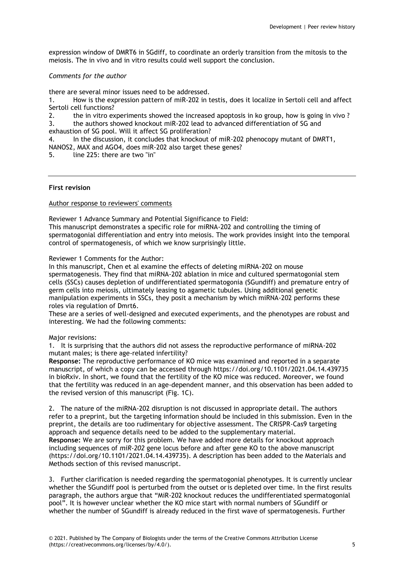expression window of DMRT6 in SGdiff, to coordinate an orderly transition from the mitosis to the meiosis. The in vivo and in vitro results could well support the conclusion.

# *Comments for the author*

there are several minor issues need to be addressed.

1. How is the expression pattern of miR-202 in testis, does it localize in Sertoli cell and affect Sertoli cell functions?

2. the in vitro experiments showed the increased apoptosis in ko group, how is going in vivo ?

3. the authors showed knockout miR-202 lead to advanced differentiation of SG and exhaustion of SG pool. Will it affect SG proliferation?

4. In the discussion, it concludes that knockout of miR-202 phenocopy mutant of DMRT1,

- NANOS2, MAX and AGO4, does miR-202 also target these genes?
- 5. line 225: there are two "in"

## **First revision**

## Author response to reviewers' comments

Reviewer 1 Advance Summary and Potential Significance to Field:

This manuscript demonstrates a specific role for miRNA-202 and controlling the timing of spermatogonial differentiation and entry into meiosis. The work provides insight into the temporal control of spermatogenesis, of which we know surprisingly little.

Reviewer 1 Comments for the Author:

In this manuscript, Chen et al examine the effects of deleting miRNA-202 on mouse spermatogenesis. They find that miRNA-202 ablation in mice and cultured spermatogonial stem cells (SSCs) causes depletion of undifferentiated spermatogonia (SGundiff) and premature entry of germ cells into meiosis, ultimately leasing to agametic tubules. Using additional genetic manipulation experiments in SSCs, they posit a mechanism by which miRNA-202 performs these roles via regulation of Dmrt6.

These are a series of well-designed and executed experiments, and the phenotypes are robust and interesting. We had the following comments:

Major revisions:

1. It is surprising that the authors did not assess the reproductive performance of miRNA-202 mutant males; is there age-related infertility?

**Response:** The reproductive performance of KO mice was examined and reported in a separate manuscript, of which a copy can be accessed through https://doi.org/10.1101/2021.04.14.439735 in bioRxiv. In short, we found that the fertility of the KO mice was reduced. Moreover, we found that the fertility was reduced in an age-dependent manner, and this observation has been added to the revised version of this manuscript (Fig. 1C).

2. The nature of the miRNA-202 disruption is not discussed in appropriate detail. The authors refer to a preprint, but the targeting information should be included in this submission. Even in the preprint, the details are too rudimentary for objective assessment. The CRISPR-Cas9 targeting approach and sequence details need to be added to the supplementary material. **Response:** We are sorry for this problem. We have added more details for knockout approach including sequences of *miR-202* gene locus before and after gene KO to the above manuscript (https://doi.org/10.1101/2021.04.14.439735). A description has been added to the Materials and Methods section of this revised manuscript.

3. Further clarification is needed regarding the spermatogonial phenotypes. It is currently unclear whether the SGundiff pool is perturbed from the outset or is depleted over time. In the first results paragraph, the authors argue that "MiR-202 knockout reduces the undifferentiated spermatogonial pool". It is however unclear whether the KO mice start with normal numbers of SGundiff or whether the number of SGundiff is already reduced in the first wave of spermatogenesis. Further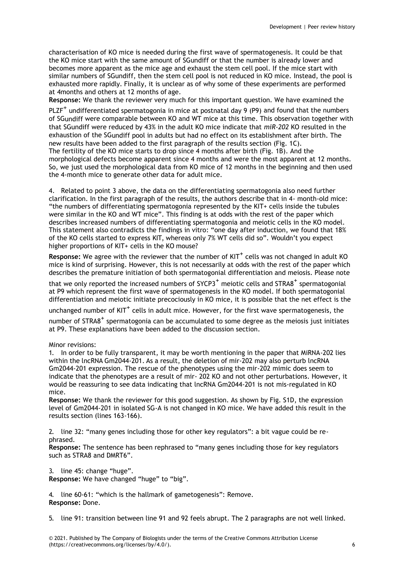characterisation of KO mice is needed during the first wave of spermatogenesis. It could be that the KO mice start with the same amount of SGundiff or that the number is already lower and becomes more apparent as the mice age and exhaust the stem cell pool. If the mice start with similar numbers of SGundiff, then the stem cell pool is not reduced in KO mice. Instead, the pool is exhausted more rapidly. Finally, it is unclear as of why some of these experiments are performed at 4months and others at 12 months of age.

**Response:** We thank the reviewer very much for this important question. We have examined the

 $PLZF^+$  undifferentiated spermatogonia in mice at postnatal day 9 (P9) and found that the numbers of SGundiff were comparable between KO and WT mice at this time. This observation together with that SGundiff were reduced by 43% in the adult KO mice indicate that *miR-202* KO resulted in the exhaustion of the SGundiff pool in adults but had no effect on its establishment after birth. The new results have been added to the first paragraph of the results section (Fig. 1C). The fertility of the KO mice starts to drop since 4 months after birth (Fig. 1B). And the morphological defects become apparent since 4 months and were the most apparent at 12 months. So, we just used the morphological data from KO mice of 12 months in the beginning and then used the 4-month mice to generate other data for adult mice.

4. Related to point 3 above, the data on the differentiating spermatogonia also need further clarification. In the first paragraph of the results, the authors describe that in 4- month-old mice: "the numbers of differentiating spermatogonia represented by the KIT+ cells inside the tubules were similar in the KO and WT mice". This finding is at odds with the rest of the paper which describes increased numbers of differentiating spermatogonia and meiotic cells in the KO model. This statement also contradicts the findings in vitro: "one day after induction, we found that 18% of the KO cells started to express KIT, whereas only 7% WT cells did so". Wouldn't you expect higher proportions of KIT+ cells in the KO mouse?

**Response:** We agree with the reviewer that the number of KIT<sup>+</sup> cells was not changed in adult KO mice is kind of surprising. However, this is not necessarily at odds with the rest of the paper which describes the premature initiation of both spermatogonial differentiation and meiosis. Please note

that we only reported the increased numbers of  $SYCP3^+$  meiotic cells and  $STRA8^+$  spermatogonial at P9 which represent the first wave of spermatogenesis in the KO model. If both spermatogonial differentiation and meiotic initiate precociously in KO mice, it is possible that the net effect is the

unchanged number of  $KIT<sup>+</sup>$  cells in adult mice. However, for the first wave spermatogenesis, the

number of STRA8<sup>+</sup> spermatogonia can be accumulated to some degree as the meiosis just initiates at P9. These explanations have been added to the discussion section.

Minor revisions:

1. In order to be fully transparent, it may be worth mentioning in the paper that MiRNA-202 lies within the lncRNA Gm2044-201. As a result, the deletion of mir-202 may also perturb lncRNA Gm2044-201 expression. The rescue of the phenotypes using the mir-202 mimic does seem to indicate that the phenotypes are a result of mir- 202 KO and not other perturbations. However, it would be reassuring to see data indicating that lncRNA Gm2044-201 is not mis-regulated in KO mice.

**Response:** We thank the reviewer for this good suggestion. As shown by Fig. S1D, the expression level of Gm2044-201 in isolated SG-A is not changed in KO mice. We have added this result in the results section (lines 163-166).

2. line 32: "many genes including those for other key regulators": a bit vague could be rephrased.

**Response:** The sentence has been rephrased to "many genes including those for key regulators such as STRA8 and DMRT6".

3. line 45: change "huge". **Response:** We have changed "huge" to "big".

4. line 60-61: "which is the hallmark of gametogenesis": Remove. **Response:** Done.

5. line 91: transition between line 91 and 92 feels abrupt. The 2 paragraphs are not well linked.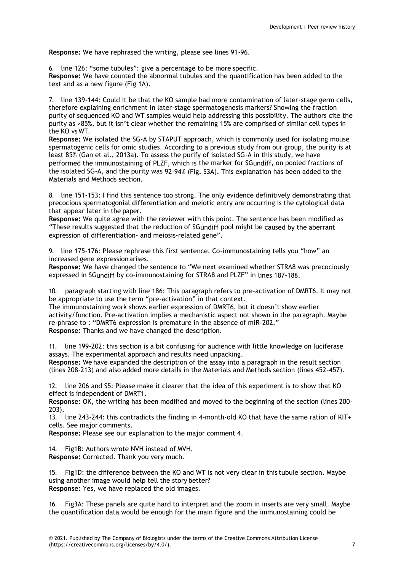**Response:** We have rephrased the writing, please see lines 91-96.

6. line 126: "some tubules": give a percentage to be more specific. **Response:** We have counted the abnormal tubules and the quantification has been added to the text and as a new figure (Fig 1A).

7. line 139-144: Could it be that the KO sample had more contamination of later-stage germ cells, therefore explaining enrichment in later-stage spermatogenesis markers? Showing the fraction purity of sequenced KO and WT samples would help addressing this possibility. The authors cite the purity as >85%, but it isn't clear whether the remaining 15% are comprised of similar cell types in the KO vs WT.

**Response:** We isolated the SG-A by STAPUT approach, which is commonly used for isolating mouse spermatogenic cells for omic studies. According to a previous study from our group, the purity is at least 85% (Gan et al., 2013a). To assess the purify of isolated SG-A in this study, we have performed the immunostaining of PLZF, which is the marker for SGundiff, on pooled fractions of the isolated SG-A, and the purity was 92-94% (Fig. S3A). This explanation has been added to the Materials and Methods section.

8. line 151-153: I find this sentence too strong. The only evidence definitively demonstrating that precocious spermatogonial differentiation and meiotic entry are occurring is the cytological data that appear later in the paper.

**Response:** We quite agree with the reviewer with this point. The sentence has been modified as "These results suggested that the reduction of SGundiff pool might be caused by the aberrant expression of differentiation- and meiosis-related gene".

9. line 175-176: Please rephrase this first sentence. Co-immunostaining tells you "how" an increased gene expressionarises.

**Response:** We have changed the sentence to "We next examined whether STRA8 was precociously expressed in SGundiff by co-immunostaining for STRA8 and PLZF" in lines 187-188.

10. paragraph starting with line 186: This paragraph refers to pre-activation of DMRT6. It may not be appropriate to use the term "pre-activation" in that context.

The immunostaining work shows earlier expression of DMRT6, but it doesn't show earlier activity/function. Pre-activation implies a mechanistic aspect not shown in the paragraph. Maybe re-phrase to : "DMRT6 expression is premature in the absence of miR-202." **Response:** Thanks and we have changed the description.

11. line 199-202: this section is a bit confusing for audience with little knowledge on luciferase assays. The experimental approach and results need unpacking.

**Response:** We have expanded the description of the assay into a paragraph in the result section (lines 208-213) and also added more details in the Materials and Methods section (lines 452-457).

12. line 206 and S5: Please make it clearer that the idea of this experiment is to show that KO effect is independent of DMRT1.

**Response:** OK, the writing has been modified and moved to the beginning of the section (lines 200- 203).

13. line 243-244: this contradicts the finding in 4-month-old KO that have the same ration of KIT+ cells. See major comments.

**Response:** Please see our explanation to the major comment 4.

14. Fig1B: Authors wrote NVH instead of MVH.

**Response:** Corrected. Thank you very much.

15. Fig1D: the difference between the KO and WT is not very clear in this tubule section. Maybe using another image would help tell the story better? **Response:** Yes, we have replaced the old images.

16. Fig3A: These panels are quite hard to interpret and the zoom in inserts are very small. Maybe the quantification data would be enough for the main figure and the immunostaining could be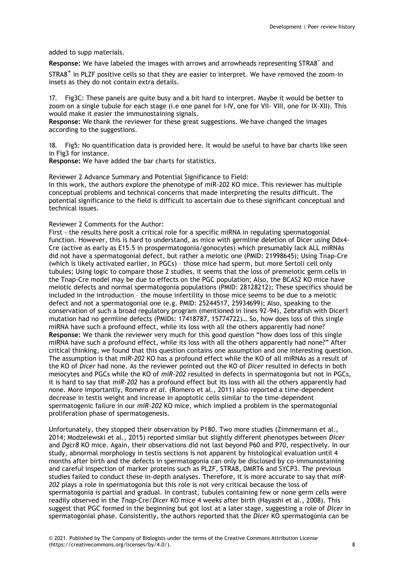added to supp materials.

Response: We have labeled the images with arrows and arrowheads representing STRA8<sup>-</sup> and

STRA8<sup>+</sup> in PLZF positive cells so that they are easier to interpret. We have removed the zoom-in insets as they do not contain extra details.

17. Fig3C: These panels are quite busy and a bit hard to interpret. Maybe it would be better to zoom on a single tubule for each stage (i.e one panel for I-IV, one for VII- VIII, one for IX-XII). This would make it easier the immunostaining signals.

**Response:** We thank the reviewer for these great suggestions. We have changed the images according to the suggestions.

18. Fig5: No quantification data is provided here. It would be useful to have bar charts like seen in Fig3 for instance.

**Response:** We have added the bar charts for statistics.

Reviewer 2 Advance Summary and Potential Significance to Field: In this work, the authors explore the phenotype of miR-202 KO mice. This reviewer has multiple conceptual problems and technical concerns that made interpreting the results difficult. The potential significance to the field is difficult to ascertain due to these significant conceptual and technical issues.

## Reviewer 2 Comments for the Author:

First - the results here posit a critical role for a specific miRNA in regulating spermatogonial function. However, this is hard to understand, as mice with germline deletion of Dicer using Ddx4- Cre (active as early as E15.5 in prospermatogonia/gonocytes) which presumably lack ALL miRNAs did not have a spermatogonial defect, but rather a meiotic one (PMID: 21998645); Using Tnap-Cre (which is likely activated earlier, in PGCs) – those mice had sperm, but more Sertoli cell only tubules; Using logic to compare those 2 studies, it seems that the loss of premeiotic germ cells in the Tnap-Cre model may be due to effects on the PGC population; Also, the BCAS2 KO mice have meiotic defects and normal spermatogonia populations (PMID: 28128212); These specifics should be included in the introduction – the mouse infertility in those mice seems to be due to a meiotic defect and not a spermatogonial one (e.g. PMID: 25244517, 25934699); Also, speaking to the conservation of such a broad regulatory program (mentioned in lines 92-94), Zebrafish with Dicer1 mutation had no germline defects (PMIDs: 17418787, 15774722)… So, how does loss of this single miRNA have such a profound effect, while its loss with all the others apparently had none? **Response:** We thank the reviewer very much for this good question "how does loss of this single miRNA have such a profound effect, while its loss with all the others apparently had none?" After critical thinking, we found that this question contains one assumption and one interesting question. The assumption is that *miR-202* KO has a profound effect while the KO of all miRNAs as a result of the KO of *Dicer* had none. As the reviewer pointed out the KO of *Dicer* resulted in defects in both meiocytes and PGCs while the KO of *miR-202* resulted in defects in spermatogonia but not in PGCs, it is hard to say that *miR-202* has a profound effect but its loss with all the others apparently had none. More importantly, Romero *et al.* (Romero et al., 2011) also reported a time-dependent decrease in testis weight and increase in apoptotic cells similar to the time-dependent spermatogenic failure in our *miR-202* KO mice, which implied a problem in the spermatogonial proliferation phase of spermatogenesis.

Unfortunately, they stopped their observation by P180. Two more studies (Zimmermann et al., 2014; Modzelewski et al., 2015) reported similar but slightly different phenotypes between *Dicer*  and *Dgcr8* KO mice. Again, their observations did not last beyond P60 and P70, respectively. In our study, abnormal morphology in testis sections is not apparent by histological evaluation until 4 months after birth and the defects in spermatogonia can only be disclosed by co-immunostaining and careful inspection of marker proteins such as PLZF, STRA8, DMRT6 and SYCP3. The previous studies failed to conduct these in-depth analyses. Therefore, it is more accurate to say that *miR-202* plays a role in spermatogonia but this role is not very critical because the loss of spermatogonia is partial and gradual. In contrast, tubules containing few or none germ cells were readily observed in the *Tnap*-Cre/*Dicer* KO mice 4 weeks after birth (Hayashi et al., 2008). This suggest that PGC formed in the beginning but got lost at a later stage, suggesting a role of *Dicer* in spermatogonial phase. Consistently, the authors reported that the *Dicer* KO spermatogonia can be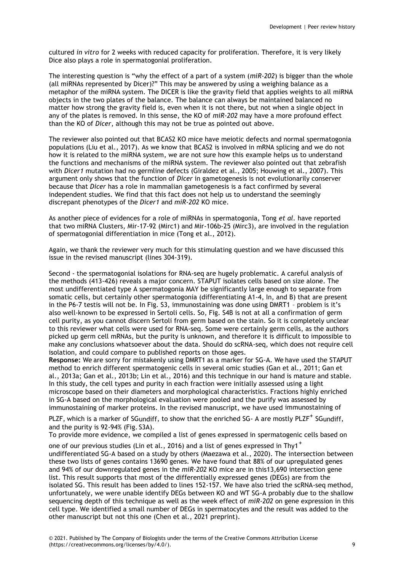cultured *in vitro* for 2 weeks with reduced capacity for proliferation. Therefore, it is very likely Dice also plays a role in spermatogonial proliferation.

The interesting question is "why the effect of a part of a system (*miR-202*) is bigger than the whole (all miRNAs represented by Dicer)?" This may be answered by using a weighing balance as a metaphor of the miRNA system. The DICER is like the gravity field that applies weights to all miRNA objects in the two plates of the balance. The balance can always be maintained balanced no matter how strong the gravity field is, even when it is not there, but not when a single object in any of the plates is removed. In this sense, the KO of *miR-202* may have a more profound effect than the KO of *Dicer*, although this may not be true as pointed out above.

The reviewer also pointed out that BCAS2 KO mice have meiotic defects and normal spermatogonia populations (Liu et al., 2017). As we know that BCAS2 is involved in mRNA splicing and we do not how it is related to the miRNA system, we are not sure how this example helps us to understand the functions and mechanisms of the miRNA system. The reviewer also pointed out that zebrafish with *Dicer1* mutation had no germline defects (Giraldez et al., 2005; Houwing et al., 2007). This argument only shows that the function of *Dicer* in gametogenesis is not evolutionarily conserver because that *Dicer* has a role in mammalian gametogenesis is a fact confirmed by several independent studies. We find that this fact does not help us to understand the seemingly discrepant phenotypes of the *Dicer1* and *miR-202* KO mice.

As another piece of evidences for a role of miRNAs in spermatogonia, Tong *et al.* have reported that two miRNA Clusters, Mir-17-92 (Mirc1) and Mir-106b-25 (Mirc3), are involved in the regulation of spermatogonial differentiation in mice (Tong et al., 2012).

Again, we thank the reviewer very much for this stimulating question and we have discussed this issue in the revised manuscript (lines 304-319).

Second - the spermatogonial isolations for RNA-seq are hugely problematic. A careful analysis of the methods (413-426) reveals a major concern. STAPUT isolates cells based on size alone. The most undifferentiated type A spermatogonia MAY be significantly large enough to separate from somatic cells, but certainly other spermatogonia (differentiating A1-4, In, and B) that are present in the P6-7 testis will not be. In Fig. S3, immunostaining was done using DMRT1 – problem is it's also well-known to be expressed in Sertoli cells. So, Fig. S4B is not at all a confirmation of germ cell purity, as you cannot discern Sertoli from germ based on the stain. So it is completely unclear to this reviewer what cells were used for RNA-seq. Some were certainly germ cells, as the authors picked up germ cell mRNAs, but the purity is unknown, and therefore it is difficult to impossible to make any conclusions whatsoever about the data. Should do scRNA-seq, which does not require cell isolation, and could compare to published reports on those ages.

**Response:** We are sorry for mistakenly using DMRT1 as a marker for SG-A. We have used the STAPUT method to enrich different spermatogenic cells in several omic studies (Gan et al., 2011; Gan et al., 2013a; Gan et al., 2013b; Lin et al., 2016) and this technique in our hand is mature and stable. In this study, the cell types and purity in each fraction were initially assessed using a light microscope based on their diameters and morphological characteristics. Fractions highly enriched in SG-A based on the morphological evaluation were pooled and the purify was assessed by immunostaining of marker proteins. In the revised manuscript, we have used immunostaining of

PLZF, which is a marker of SGundiff, to show that the enriched SG- A are mostly PLZF<sup>+</sup> SGundiff, and the purity is 92-94% (Fig. S3A).

To provide more evidence, we compiled a list of genes expressed in spermatogenic cells based on

one of our previous studies (Lin et al., 2016) and a list of genes expressed in Thy1<sup>+</sup> undifferentiated SG-A based on a study by others (Maezawa et al., 2020). The intersection between these two lists of genes contains 13690 genes. We have found that 88% of our upregulated genes and 94% of our downregulated genes in the *miR-202* KO mice are in this13,690 intersection gene list. This result supports that most of the differentially expressed genes (DEGs) are from the isolated SG. This result has been added to lines 152-157. We have also tried the scRNA-seq method, unfortunately, we were unable identify DEGs between KO and WT SG-A probably due to the shallow sequencing depth of this technique as well as the week effect of *miR-202* on gene expression in this cell type. We identified a small number of DEGs in spermatocytes and the result was added to the other manuscript but not this one (Chen et al., 2021 preprint).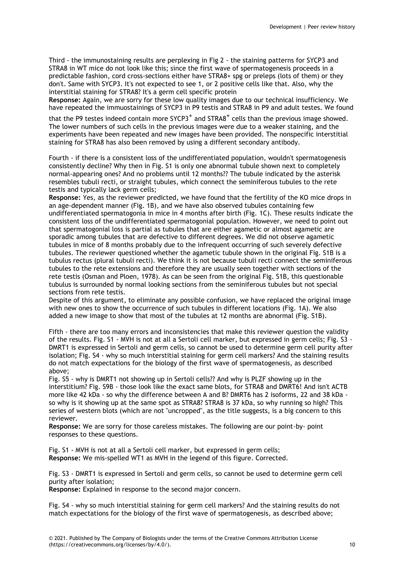Third - the immunostaining results are perplexing in Fig 2 - the staining patterns for SYCP3 and STRA8 in WT mice do not look like this; since the first wave of spermatogenesis proceeds in a predictable fashion, cord cross-sections either have STRA8+ spg or preleps (lots of them) or they don't. Same with SYCP3. It's not expected to see 1, or 2 positive cells like that. Also, why the interstitial staining for STRA8? It's a germ cell specific protein

**Response:** Again, we are sorry for these low quality images due to our technical insufficiency. We have repeated the immuostainings of SYCP3 in P9 testis and STRA8 in P9 and adult testes. We found

that the P9 testes indeed contain more  $SYCP3^+$  and  $STRAB^+$  cells than the previous image showed. The lower numbers of such cells in the previous images were due to a weaker staining, and the experiments have been repeated and new images have been provided. The nonspecific interstitial staining for STRA8 has also been removed by using a different secondary antibody.

Fourth - if there is a consistent loss of the undifferentiated population, wouldn't spermatogenesis consistently decline? Why then in Fig. S1 is only one abnormal tubule shown next to completely normal-appearing ones? And no problems until 12 months?? The tubule indicated by the asterisk resembles tubuli recti, or straight tubules, which connect the seminiferous tubules to the rete testis and typically lack germ cells;

**Response:** Yes, as the reviewer predicted, we have found that the fertility of the KO mice drops in an age-dependent manner (Fig. 1B), and we have also observed tubules containing few undifferentiated spermatogonia in mice in 4 months after birth (Fig. 1C). These results indicate the consistent loss of the undifferentiated spermatogonial population. However, we need to point out that spermatogonial loss is partial as tubules that are either agametic or almost agametic are sporadic among tubules that are defective to different degrees. We did not observe agametic tubules in mice of 8 months probably due to the infrequent occurring of such severely defective tubules. The reviewer questioned whether the agametic tubule shown in the original Fig. S1B is a tubulus rectus (plural tubuli recti). We think it is not because tubuli recti connect the seminiferous tubules to the rete extensions and therefore they are usually seen together with sections of the rete testis (Osman and Ploen, 1978). As can be seen from the original Fig. S1B, this questionable tubulus is surrounded by normal looking sections from the seminiferous tubules but not special sections from rete testis.

Despite of this argument, to eliminate any possible confusion, we have replaced the original image with new ones to show the occurrence of such tubules in different locations (Fig. 1A). We also added a new image to show that most of the tubules at 12 months are abnormal (Fig. S1B).

Fifth - there are too many errors and inconsistencies that make this reviewer question the validity of the results. Fig. S1 - MVH is not at all a Sertoli cell marker, but expressed in germ cells; Fig. S3 - DMRT1 is expressed in Sertoli and germ cells, so cannot be used to determine germ cell purity after isolation; Fig. S4 - why so much interstitial staining for germ cell markers? And the staining results do not match expectations for the biology of the first wave of spermatogenesis, as described above;

Fig. S5 - why is DMRT1 not showing up in Sertoli cells?? And why is PLZF showing up in the interstitium? Fig. S9B - those look like the exact same blots, for STRA8 and DMRT6! And isn't ACTB more like 42 kDa - so why the difference between A and B? DMRT6 has 2 isoforms, 22 and 38 kDa so why is it showing up at the same spot as STRA8? STRA8 is 37 kDa, so why running so high? This series of western blots (which are not "uncropped", as the title suggests, is a big concern to this reviewer.

**Response:** We are sorry for those careless mistakes. The following are our point-by- point responses to these questions.

Fig. S1 - MVH is not at all a Sertoli cell marker, but expressed in germ cells; **Response:** We mis-spelled WT1 as MVH in the legend of this figure. Corrected.

Fig. S3 - DMRT1 is expressed in Sertoli and germ cells, so cannot be used to determine germ cell purity after isolation;

**Response:** Explained in response to the second major concern.

Fig. S4 - why so much interstitial staining for germ cell markers? And the staining results do not match expectations for the biology of the first wave of spermatogenesis, as described above;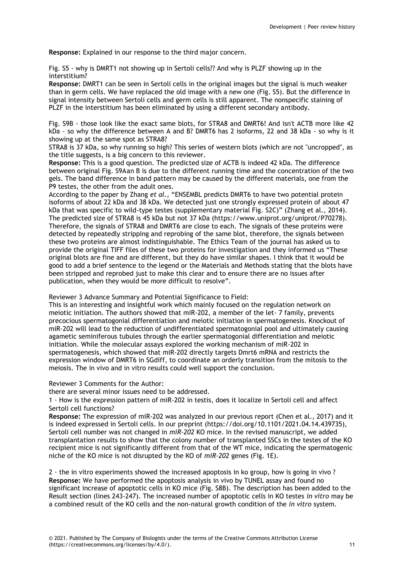**Response:** Explained in our response to the third major concern.

Fig. S5 - why is DMRT1 not showing up in Sertoli cells?? And why is PLZF showing up in the interstitium?

**Response:** DMRT1 can be seen in Sertoli cells in the original images but the signal is much weaker than in germ cells. We have replaced the old image with a new one (Fig. S5). But the difference in signal intensity between Sertoli cells and germ cells is still apparent. The nonspecific staining of PLZF in the interstitium has been eliminated by using a different secondary antibody.

Fig. S9B - those look like the exact same blots, for STRA8 and DMRT6! And isn't ACTB more like 42 kDa - so why the difference between A and B? DMRT6 has 2 isoforms, 22 and 38 kDa - so why is it showing up at the same spot as STRA8?

STRA8 is 37 kDa, so why running so high? This series of western blots (which are not "uncropped", as the title suggests, is a big concern to this reviewer.

**Response:** This is a good question. The predicted size of ACTB is indeed 42 kDa. The difference between original Fig. S9Aan B is due to the different running time and the concentration of the two gels. The band difference in band pattern may be caused by the different materials, one from the P9 testes, the other from the adult ones.

According to the paper by Zhang *et al.*, "ENSEMBL predicts DMRT6 to have two potential protein isoforms of about 22 kDa and 38 kDa. We detected just one strongly expressed protein of about 47 kDa that was specific to wild-type testes (supplementary material Fig. S2C)" (Zhang et al., 2014). The predicted size of STRA8 is 45 kDa but not 37 kDa ([https://www.uniprot.org/uniprot/P70278\).](http://www.uniprot.org/uniprot/P70278)) Therefore, the signals of STRA8 and DMRT6 are close to each. The signals of these proteins were detected by repeatedly stripping and reprobing of the same blot, therefore, the signals between these two proteins are almost indistinguishable. The Ethics Team of the journal has asked us to provide the original TIFF files of these two proteins for investigation and they informed us "These original blots are fine and are different, but they do have similar shapes. I think that it would be good to add a brief sentence to the legend or the Materials and Methods stating that the blots have been stripped and reprobed just to make this clear and to ensure there are no issues after publication, when they would be more difficult to resolve".

Reviewer 3 Advance Summary and Potential Significance to Field:

This is an interesting and insightful work which mainly focused on the regulation network on meiotic initiation. The authors showed that miR-202, a member of the let- 7 family, prevents precocious spermatogonial differentiation and meiotic initiation in spermatogenesis. Knockout of miR-202 will lead to the reduction of undifferentiated spermatogonial pool and ultimately causing agametic seminiferous tubules through the earlier spermatogonial differentiation and meiotic initiation. While the molecular assays explored the working mechanism of miR-202 in spermatogenesis, which showed that miR-202 directly targets Dmrt6 mRNA and restricts the expression window of DMRT6 in SGdiff, to coordinate an orderly transition from the mitosis to the meiosis. The in vivo and in vitro results could well support the conclusion.

Reviewer 3 Comments for the Author:

there are several minor issues need to be addressed.

1、How is the expression pattern of miR-202 in testis, does it localize in Sertoli cell and affect Sertoli cell functions?

**Response:** The expression of miR-202 was analyzed in our previous report (Chen et al., 2017) and it is indeed expressed in Sertoli cells. In our preprint (https://doi.org/10.1101/2021.04.14.439735), Sertoli cell number was not changed in *miR-202* KO mice. In the revised manuscript, we added transplantation results to show that the colony number of transplanted SSCs in the testes of the KO recipient mice is not significantly different from that of the WT mice, indicating the spermatogenic niche of the KO mice is not disrupted by the KO of *miR-202* genes (Fig. 1E).

2、the in vitro experiments showed the increased apoptosis in ko group, how is going in vivo ? **Response:** We have performed the apoptosis analysis in vivo by TUNEL assay and found no significant increase of apoptotic cells in KO mice (Fig. S8B). The description has been added to the Result section (lines 243-247). The increased number of apoptotic cells in KO testes *in vitro* may be a combined result of the KO cells and the non-natural growth condition of the *in vitro* system.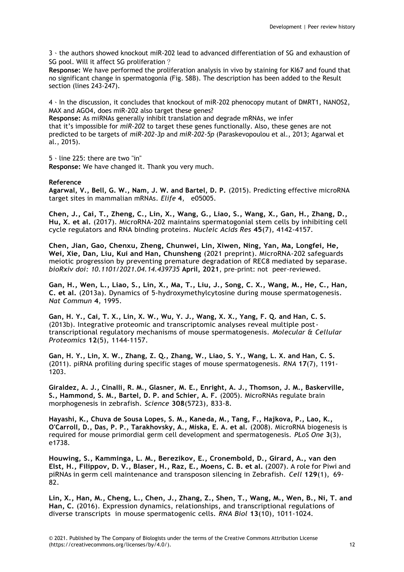3、the authors showed knockout miR-202 lead to advanced differentiation of SG and exhaustion of SG pool. Will it affect SG proliferation?

**Response:** We have performed the proliferation analysis in vivo by staining for KI67 and found that no significant change in spermatogonia (Fig. S8B). The description has been added to the Result section (lines 243-247).

4、In the discussion, it concludes that knockout of miR-202 phenocopy mutant of DMRT1, NANOS2, MAX and AGO4, does miR-202 also target these genes?

**Response:** As miRNAs generally inhibit translation and degrade mRNAs, we infer that it's impossible for *miR-202* to target these genes functionally. Also, these genes are not predicted to be targets of *miR-202-3p* and *miR-202-5p* (Paraskevopoulou et al., 2013; Agarwal et al., 2015).

5、line 225: there are two "in"

**Response:** We have changed it. Thank you very much.

## **Reference**

**Agarwal, V., Bell, G. W., Nam, J. W. and Bartel, D. P.** (2015). Predicting effective microRNA target sites in mammalian mRNAs. *Elife* **4**, e05005.

**Chen, J., Cai, T., Zheng, C., Lin, X., Wang, G., Liao, S., Wang, X., Gan, H., Zhang, D., Hu, X. et al.** (2017). MicroRNA-202 maintains spermatogonial stem cells by inhibiting cell cycle regulators and RNA binding proteins. *Nucleic Acids Res* **45**(7), 4142-4157.

**Chen, Jian, Gao, Chenxu, Zheng, Chunwei, Lin, Xiwen, Ning, Yan, Ma, Longfei, He, Wei, Xie, Dan, Liu, Kui and Han, Chunsheng** (2021 preprint). MicroRNA-202 safeguards meiotic progression by preventing premature degradation of REC8 mediated by separase. *bioRxiv doi: 10.1101/2021.04.14.439735* **April, 2021**, pre-print: not peer-reviewed.

**Gan, H., Wen, L., Liao, S., Lin, X., Ma, T., Liu, J., Song, C. X., Wang, M., He, C., Han, C. et al.** (2013a). Dynamics of 5-hydroxymethylcytosine during mouse spermatogenesis. *Nat Commun* **4**, 1995.

**Gan, H. Y., Cai, T. X., Lin, X. W., Wu, Y. J., Wang, X. X., Yang, F. Q. and Han, C. S.**  (2013b). Integrative proteomic and transcriptomic analyses reveal multiple posttranscriptional regulatory mechanisms of mouse spermatogenesis. *Molecular & Cellular Proteomics* **12**(5), 1144-1157.

**Gan, H. Y., Lin, X. W., Zhang, Z. Q., Zhang, W., Liao, S. Y., Wang, L. X. and Han, C. S.**  (2011). piRNA profiling during specific stages of mouse spermatogenesis. *RNA* **17**(7), 1191- 1203.

**Giraldez, A. J., Cinalli, R. M., Glasner, M. E., Enright, A. J., Thomson, J. M., Baskerville, S., Hammond, S. M., Bartel, D. P. and Schier, A. F.** (2005). MicroRNAs regulate brain morphogenesis in zebrafish. *Science* **308**(5723), 833-8.

**Hayashi, K., Chuva de Sousa Lopes, S. M., Kaneda, M., Tang, F., Hajkova, P., Lao, K., O'Carroll, D., Das, P. P., Tarakhovsky, A., Miska, E. A. et al.** (2008). MicroRNA biogenesis is required for mouse primordial germ cell development and spermatogenesis. *PLoS One* **3**(3), e1738.

**Houwing, S., Kamminga, L. M., Berezikov, E., Cronembold, D., Girard, A., van den Elst, H., Filippov, D. V., Blaser, H., Raz, E., Moens, C. B. et al.** (2007). A role for Piwi and piRNAs in germ cell maintenance and transposon silencing in Zebrafish. *Cell* **129**(1), 69- 82.

**Lin, X., Han, M., Cheng, L., Chen, J., Zhang, Z., Shen, T., Wang, M., Wen, B., Ni, T. and Han, C.** (2016). Expression dynamics, relationships, and transcriptional regulations of diverse transcripts in mouse spermatogenic cells. *RNA Biol* **13**(10), 1011-1024.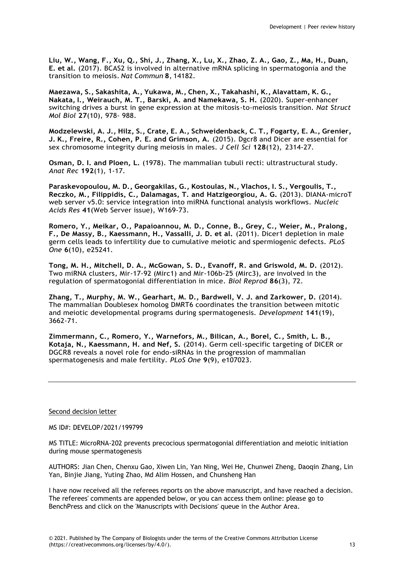Liu, W., Wang, F., Xu, Q., Shi, J., Zhang, X., Lu, X., Zhao, Z. A., Gao, Z., Ma, H., Duan, **E. et al.** (2017). BCAS2 is involved in alternative mRNA splicing in spermatogonia and the transition to meiosis. *Nat Commun* **8**, 14182.

**Maezawa, S., Sakashita, A., Yukawa, M., Chen, X., Takahashi, K., Alavattam, K. G., Nakata, I., Weirauch, M. T., Barski, A. and Namekawa, S. H.** (2020). Super-enhancer switching drives a burst in gene expression at the mitosis-to-meiosis transition. *Nat Struct Mol Biol* **27**(10), 978- 988.

**Modzelewski, A. J., Hilz, S., Crate, E. A., Schweidenback, C. T., Fogarty, E. A., Grenier, J. K., Freire, R., Cohen, P. E. and Grimson, A.** (2015). Dgcr8 and Dicer are essential for sex chromosome integrity during meiosis in males. *J Cell Sci* **128**(12), 2314-27.

**Osman, D. I. and Ploen, L.** (1978). The mammalian tubuli recti: ultrastructural study. *Anat Rec* **192**(1), 1-17.

**Paraskevopoulou, M. D., Georgakilas, G., Kostoulas, N., Vlachos, I. S., Vergoulis, T., Reczko, M., Filippidis, C., Dalamagas, T. and Hatzigeorgiou, A. G.** (2013). DIANA-microT web server v5.0: service integration into miRNA functional analysis workflows. *Nucleic Acids Res* **41**(Web Server issue), W169-73.

**Romero, Y., Meikar, O., Papaioannou, M. D., Conne, B., Grey, C., Weier, M., Pralong, F., De Massy, B., Kaessmann, H., Vassalli, J. D. et al.** (2011). Dicer1 depletion in male germ cells leads to infertility due to cumulative meiotic and spermiogenic defects. *PLoS One* **6**(10), e25241.

**Tong, M. H., Mitchell, D. A., McGowan, S. D., Evanoff, R. and Griswold, M. D.** (2012). Two miRNA clusters, Mir-17-92 (Mirc1) and Mir-106b-25 (Mirc3), are involved in the regulation of spermatogonial differentiation in mice. *Biol Reprod* **86**(3), 72.

**Zhang, T., Murphy, M. W., Gearhart, M. D., Bardwell, V. J. and Zarkower, D.** (2014). The mammalian Doublesex homolog DMRT6 coordinates the transition between mitotic and meiotic developmental programs during spermatogenesis. *Development* **141**(19), 3662-71.

**Zimmermann, C., Romero, Y., Warnefors, M., Bilican, A., Borel, C., Smith, L. B., Kotaja, N., Kaessmann, H. and Nef, S.** (2014). Germ cell-specific targeting of DICER or DGCR8 reveals a novel role for endo-siRNAs in the progression of mammalian spermatogenesis and male fertility. *PLoS One* **9**(9), e107023.

## Second decision letter

MS ID#: DEVELOP/2021/199799

MS TITLE: MicroRNA-202 prevents precocious spermatogonial differentiation and meiotic initiation during mouse spermatogenesis

AUTHORS: Jian Chen, Chenxu Gao, Xiwen Lin, Yan Ning, Wei He, Chunwei Zheng, Daoqin Zhang, Lin Yan, Binjie Jiang, Yuting Zhao, Md Alim Hossen, and Chunsheng Han

I have now received all the referees reports on the above manuscript, and have reached a decision. The referees' comments are appended below, or you can access them online: please go to BenchPress and click on the 'Manuscripts with Decisions' queue in the Author Area.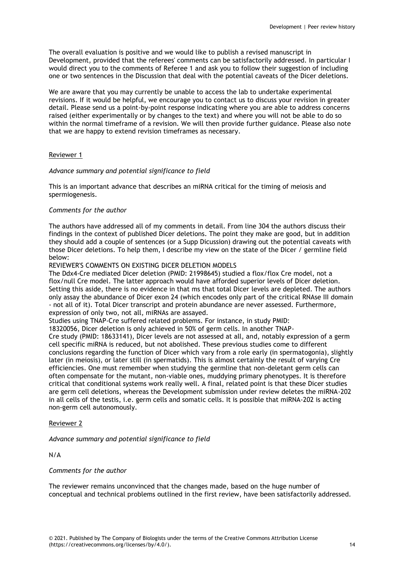The overall evaluation is positive and we would like to publish a revised manuscript in Development, provided that the referees' comments can be satisfactorily addressed. In particular I would direct you to the comments of Referee 1 and ask you to follow their suggestion of including one or two sentences in the Discussion that deal with the potential caveats of the Dicer deletions.

We are aware that you may currently be unable to access the lab to undertake experimental revisions. If it would be helpful, we encourage you to contact us to discuss your revision in greater detail. Please send us a point-by-point response indicating where you are able to address concerns raised (either experimentally or by changes to the text) and where you will not be able to do so within the normal timeframe of a revision. We will then provide further guidance. Please also note that we are happy to extend revision timeframes as necessary.

## Reviewer 1

## *Advance summary and potential significance to field*

This is an important advance that describes an miRNA critical for the timing of meiosis and spermiogenesis.

## *Comments for the author*

The authors have addressed all of my comments in detail. From line 304 the authors discuss their findings in the context of published Dicer deletions. The point they make are good, but in addition they should add a couple of sentences (or a Supp Dicussion) drawing out the potential caveats with those Dicer deletions. To help them, I describe my view on the state of the Dicer / germline field below:

REVIEWER'S COMMENTS ON EXISTING DICER DELETION MODELS

The Ddx4-Cre mediated Dicer deletion (PMID: 21998645) studied a flox/flox Cre model, not a flox/null Cre model. The latter approach would have afforded superior levels of Dicer deletion. Setting this aside, there is no evidence in that ms that total Dicer levels are depleted. The authors only assay the abundance of Dicer exon 24 (which encodes only part of the critical RNAse III domain - not all of it). Total Dicer transcript and protein abundance are never assessed. Furthermore, expression of only two, not all, miRNAs are assayed.

Studies using TNAP-Cre suffered related problems. For instance, in study PMID:

18320056, Dicer deletion is only achieved in 50% of germ cells. In another TNAP-

Cre study (PMID: 18633141), Dicer levels are not assessed at all, and, notably expression of a germ cell specific miRNA is reduced, but not abolished. These previous studies come to different conclusions regarding the function of Dicer which vary from a role early (in spermatogonia), slightly later (in meiosis), or later still (in spermatids). This is almost certainly the result of varying Cre efficiencies. One must remember when studying the germline that non-deletant germ cells can often compensate for the mutant, non-viable ones, muddying primary phenotypes. It is therefore critical that conditional systems work really well. A final, related point is that these Dicer studies are germ cell deletions, whereas the Development submission under review deletes the miRNA-202 in all cells of the testis, i.e. germ cells and somatic cells. It is possible that miRNA-202 is acting non-germ cell autonomously.

## Reviewer 2

*Advance summary and potential significance to field*

N/A

## *Comments for the author*

The reviewer remains unconvinced that the changes made, based on the huge number of conceptual and technical problems outlined in the first review, have been satisfactorily addressed.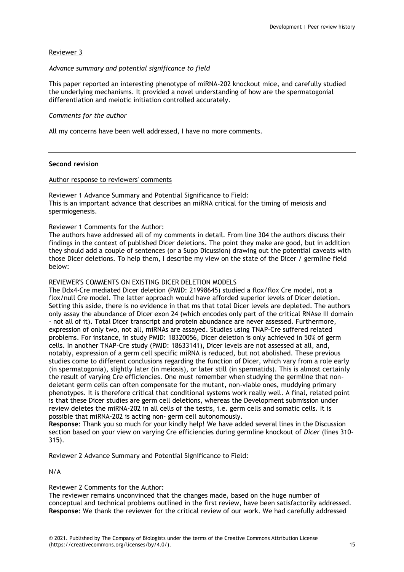# Reviewer 3

## *Advance summary and potential significance to field*

This paper reported an interesting phenotype of miRNA-202 knockout mice, and carefully studied the underlying mechanisms. It provided a novel understanding of how are the spermatogonial differentiation and meiotic initiation controlled accurately.

## *Comments for the author*

All my concerns have been well addressed, I have no more comments.

#### **Second revision**

# Author response to reviewers' comments

Reviewer 1 Advance Summary and Potential Significance to Field: This is an important advance that describes an miRNA critical for the timing of meiosis and spermiogenesis.

#### Reviewer 1 Comments for the Author:

The authors have addressed all of my comments in detail. From line 304 the authors discuss their findings in the context of published Dicer deletions. The point they make are good, but in addition they should add a couple of sentences (or a Supp Dicussion) drawing out the potential caveats with those Dicer deletions. To help them, I describe my view on the state of the Dicer / germline field below:

#### REVIEWER'S COMMENTS ON EXISTING DICER DELETION MODELS

The Ddx4-Cre mediated Dicer deletion (PMID: 21998645) studied a flox/flox Cre model, not a flox/null Cre model. The latter approach would have afforded superior levels of Dicer deletion. Setting this aside, there is no evidence in that ms that total Dicer levels are depleted. The authors only assay the abundance of Dicer exon 24 (which encodes only part of the critical RNAse III domain - not all of it). Total Dicer transcript and protein abundance are never assessed. Furthermore, expression of only two, not all, miRNAs are assayed. Studies using TNAP-Cre suffered related problems. For instance, in study PMID: 18320056, Dicer deletion is only achieved in 50% of germ cells. In another TNAP-Cre study (PMID: 18633141), Dicer levels are not assessed at all, and, notably, expression of a germ cell specific miRNA is reduced, but not abolished. These previous studies come to different conclusions regarding the function of Dicer, which vary from a role early (in spermatogonia), slightly later (in meiosis), or later still (in spermatids). This is almost certainly the result of varying Cre efficiencies. One must remember when studying the germline that nondeletant germ cells can often compensate for the mutant, non-viable ones, muddying primary phenotypes. It is therefore critical that conditional systems work really well. A final, related point is that these Dicer studies are germ cell deletions, whereas the Development submission under review deletes the miRNA-202 in all cells of the testis, i.e. germ cells and somatic cells. It is possible that miRNA-202 is acting non- germ cell autonomously.

**Response**: Thank you so much for your kindly help! We have added several lines in the Discussion section based on your view on varying Cre efficiencies during germline knockout of *Dicer* (lines 310- 315).

Reviewer 2 Advance Summary and Potential Significance to Field:

N/A

# Reviewer 2 Comments for the Author:

The reviewer remains unconvinced that the changes made, based on the huge number of conceptual and technical problems outlined in the first review, have been satisfactorily addressed. **Response**: We thank the reviewer for the critical review of our work. We had carefully addressed